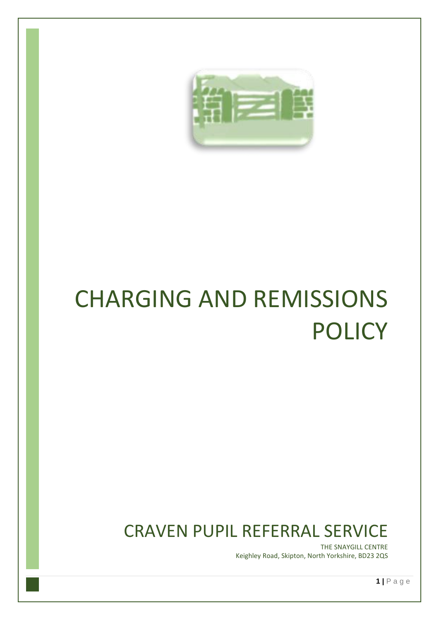

# CHARGING AND REMISSIONS POLICY

### CRAVEN PUPIL REFERRAL SERVICE

THE SNAYGILL CENTRE Keighley Road, Skipton, North Yorkshire, BD23 2QS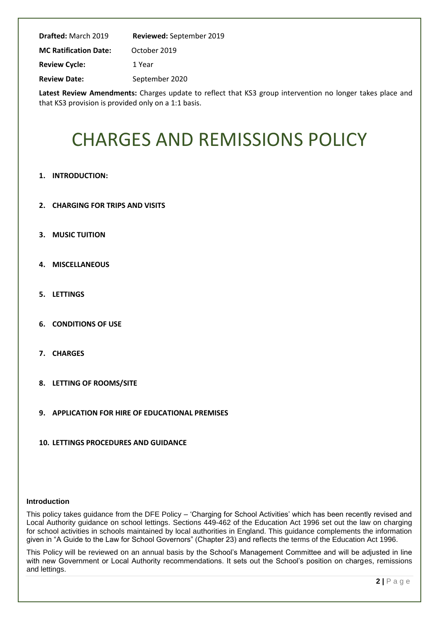| <b>Drafted:</b> March 2019   | Reviewed: September 2019 |
|------------------------------|--------------------------|
| <b>MC Ratification Date:</b> | October 2019             |
| <b>Review Cycle:</b>         | 1 Year                   |
| <b>Review Date:</b>          | September 2020           |

**Latest Review Amendments:** Charges update to reflect that KS3 group intervention no longer takes place and that KS3 provision is provided only on a 1:1 basis.

## CHARGES AND REMISSIONS POLICY

- **1. INTRODUCTION:**
- **2. CHARGING FOR TRIPS AND VISITS**
- **3. MUSIC TUITION**
- **4. MISCELLANEOUS**
- **5. LETTINGS**
- **6. CONDITIONS OF USE**
- **7. CHARGES**
- **8. LETTING OF ROOMS/SITE**
- **9. APPLICATION FOR HIRE OF EDUCATIONAL PREMISES**
- **10. LETTINGS PROCEDURES AND GUIDANCE**

#### **Introduction**

This policy takes guidance from the DFE Policy – 'Charging for School Activities' which has been recently revised and Local Authority guidance on school lettings. Sections 449-462 of the Education Act 1996 set out the law on charging for school activities in schools maintained by local authorities in England. This guidance complements the information given in "A Guide to the Law for School Governors" (Chapter 23) and reflects the terms of the Education Act 1996.

This Policy will be reviewed on an annual basis by the School's Management Committee and will be adjusted in line with new Government or Local Authority recommendations. It sets out the School's position on charges, remissions and lettings.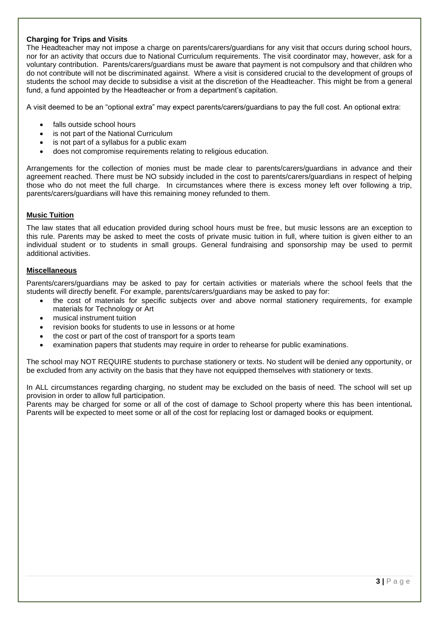#### **Charging for Trips and Visits**

The Headteacher may not impose a charge on parents/carers/guardians for any visit that occurs during school hours, nor for an activity that occurs due to National Curriculum requirements. The visit coordinator may, however, ask for a voluntary contribution. Parents/carers/guardians must be aware that payment is not compulsory and that children who do not contribute will not be discriminated against. Where a visit is considered crucial to the development of groups of students the school may decide to subsidise a visit at the discretion of the Headteacher. This might be from a general fund, a fund appointed by the Headteacher or from a department's capitation.

A visit deemed to be an "optional extra" may expect parents/carers/guardians to pay the full cost. An optional extra:

- falls outside school hours
- is not part of the National Curriculum
- is not part of a syllabus for a public exam
- does not compromise requirements relating to religious education.

Arrangements for the collection of monies must be made clear to parents/carers/guardians in advance and their agreement reached. There must be NO subsidy included in the cost to parents/carers/guardians in respect of helping those who do not meet the full charge. In circumstances where there is excess money left over following a trip, parents/carers/guardians will have this remaining money refunded to them.

#### **Music Tuition**

The law states that all education provided during school hours must be free, but music lessons are an exception to this rule. Parents may be asked to meet the costs of private music tuition in full, where tuition is given either to an individual student or to students in small groups. General fundraising and sponsorship may be used to permit additional activities.

#### **Miscellaneous**

Parents/carers/guardians may be asked to pay for certain activities or materials where the school feels that the students will directly benefit. For example, parents/carers/guardians may be asked to pay for:

- the cost of materials for specific subjects over and above normal stationery requirements, for example materials for Technology or Art
- musical instrument tuition
- revision books for students to use in lessons or at home
- the cost or part of the cost of transport for a sports team
- examination papers that students may require in order to rehearse for public examinations.

The school may NOT REQUIRE students to purchase stationery or texts. No student will be denied any opportunity, or be excluded from any activity on the basis that they have not equipped themselves with stationery or texts.

In ALL circumstances regarding charging, no student may be excluded on the basis of need. The school will set up provision in order to allow full participation.

Parents may be charged for some or all of the cost of damage to School property where this has been intentional*.* Parents will be expected to meet some or all of the cost for replacing lost or damaged books or equipment.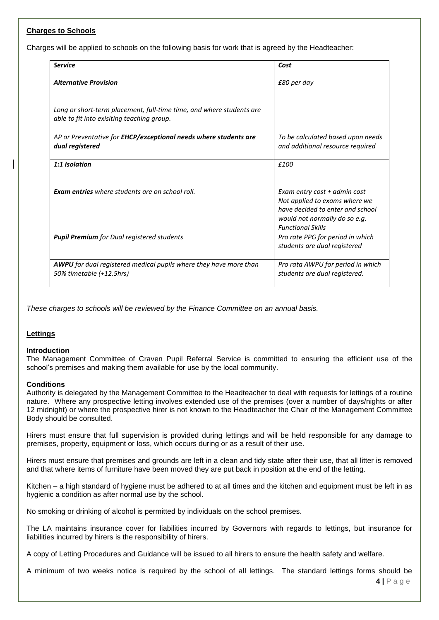#### **Charges to Schools**

Charges will be applied to schools on the following basis for work that is agreed by the Headteacher:

| <b>Service</b>                                                                                                     | Cost                                                                                                                                                           |
|--------------------------------------------------------------------------------------------------------------------|----------------------------------------------------------------------------------------------------------------------------------------------------------------|
| <b>Alternative Provision</b>                                                                                       | £80 per day                                                                                                                                                    |
| Long or short-term placement, full-time time, and where students are<br>able to fit into exisiting teaching group. |                                                                                                                                                                |
| AP or Preventative for EHCP/exceptional needs where students are<br>dual registered                                | To be calculated based upon needs<br>and additional resource required                                                                                          |
| 1:1 Isolation                                                                                                      | f <sub>100</sub>                                                                                                                                               |
| <b>Exam entries</b> where students are on school roll.                                                             | Exam entry cost + admin cost<br>Not applied to exams where we<br>have decided to enter and school<br>would not normally do so e.g.<br><b>Functional Skills</b> |
| <b>Pupil Premium</b> for Dual registered students                                                                  | Pro rate PPG for period in which<br>students are dual registered                                                                                               |
| AWPU for dual registered medical pupils where they have more than<br>50% timetable (+12.5hrs)                      | Pro rata AWPU for period in which<br>students are dual registered.                                                                                             |

*These charges to schools will be reviewed by the Finance Committee on an annual basis.*

#### **Lettings**

#### **Introduction**

The Management Committee of Craven Pupil Referral Service is committed to ensuring the efficient use of the school's premises and making them available for use by the local community.

#### **Conditions**

Authority is delegated by the Management Committee to the Headteacher to deal with requests for lettings of a routine nature. Where any prospective letting involves extended use of the premises (over a number of days/nights or after 12 midnight) or where the prospective hirer is not known to the Headteacher the Chair of the Management Committee Body should be consulted.

Hirers must ensure that full supervision is provided during lettings and will be held responsible for any damage to premises, property, equipment or loss, which occurs during or as a result of their use.

Hirers must ensure that premises and grounds are left in a clean and tidy state after their use, that all litter is removed and that where items of furniture have been moved they are put back in position at the end of the letting.

Kitchen – a high standard of hygiene must be adhered to at all times and the kitchen and equipment must be left in as hygienic a condition as after normal use by the school.

No smoking or drinking of alcohol is permitted by individuals on the school premises.

The LA maintains insurance cover for liabilities incurred by Governors with regards to lettings, but insurance for liabilities incurred by hirers is the responsibility of hirers.

A copy of Letting Procedures and Guidance will be issued to all hirers to ensure the health safety and welfare.

A minimum of two weeks notice is required by the school of all lettings. The standard lettings forms should be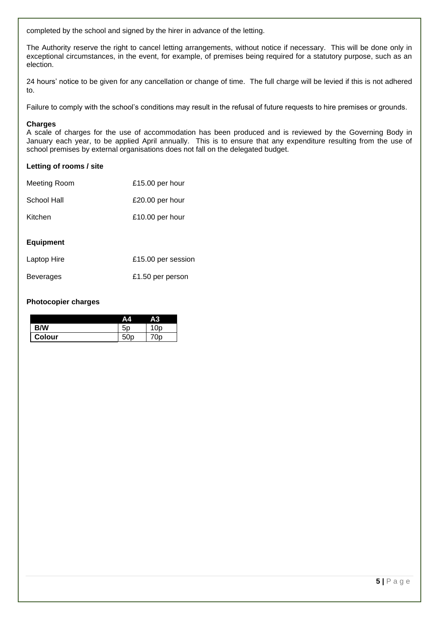completed by the school and signed by the hirer in advance of the letting.

The Authority reserve the right to cancel letting arrangements, without notice if necessary. This will be done only in exceptional circumstances, in the event, for example, of premises being required for a statutory purpose, such as an election.

24 hours' notice to be given for any cancellation or change of time. The full charge will be levied if this is not adhered to.

Failure to comply with the school's conditions may result in the refusal of future requests to hire premises or grounds.

#### **Charges**

A scale of charges for the use of accommodation has been produced and is reviewed by the Governing Body in January each year, to be applied April annually. This is to ensure that any expenditure resulting from the use of school premises by external organisations does not fall on the delegated budget.

#### **Letting of rooms / site**

| Meeting Room | £15.00 per hour |
|--------------|-----------------|
| School Hall  | £20.00 per hour |
| Kitchen      | £10.00 per hour |

#### **Equipment**

| Laptop Hire      | £15.00 per session |  |  |
|------------------|--------------------|--|--|
| <b>Beverages</b> | £1.50 per person   |  |  |

#### **Photocopier charges**

|        | /Δ٦ | А3 |
|--------|-----|----|
| B/W    |     | Ωr |
| Colour |     |    |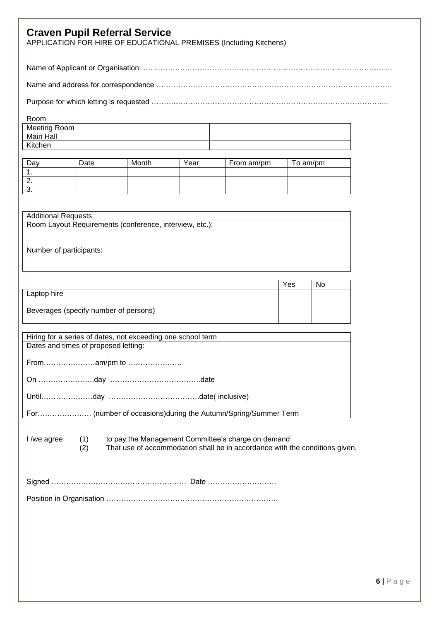|                                       |            | <b>Craven Pupil Referral Service</b><br>APPLICATION FOR HIRE OF EDUCATIONAL PREMISES (Including Kitchens)                         |      |            |          |    |                  |
|---------------------------------------|------------|-----------------------------------------------------------------------------------------------------------------------------------|------|------------|----------|----|------------------|
|                                       |            |                                                                                                                                   |      |            |          |    |                  |
|                                       |            |                                                                                                                                   |      |            |          |    |                  |
|                                       |            |                                                                                                                                   |      |            |          |    |                  |
| Room<br>Meeting Room                  |            |                                                                                                                                   |      |            |          |    |                  |
| Main Hall                             |            |                                                                                                                                   |      |            |          |    |                  |
| Kitchen                               |            |                                                                                                                                   |      |            |          |    |                  |
| Day                                   | Date       | Month                                                                                                                             | Year | From am/pm | To am/pm |    |                  |
| 1.<br>2.                              |            |                                                                                                                                   |      |            |          |    |                  |
| 3.                                    |            |                                                                                                                                   |      |            |          |    |                  |
|                                       |            |                                                                                                                                   |      |            |          |    |                  |
| <b>Additional Requests:</b>           |            |                                                                                                                                   |      |            |          |    |                  |
|                                       |            | Room Layout Requirements (conference, interview, etc.):                                                                           |      |            |          |    |                  |
| Number of participants:               |            |                                                                                                                                   |      |            |          |    |                  |
|                                       |            |                                                                                                                                   |      |            |          |    |                  |
|                                       |            |                                                                                                                                   |      |            |          |    |                  |
| Laptop hire                           |            |                                                                                                                                   |      |            | Yes      | No |                  |
|                                       |            |                                                                                                                                   |      |            |          |    |                  |
| Beverages (specify number of persons) |            |                                                                                                                                   |      |            |          |    |                  |
|                                       |            |                                                                                                                                   |      |            |          |    |                  |
| Dates and times of proposed letting:  |            | Hiring for a series of dates, not exceeding one school term                                                                       |      |            |          |    |                  |
|                                       |            |                                                                                                                                   |      |            |          |    |                  |
|                                       |            |                                                                                                                                   |      |            |          |    |                  |
|                                       |            |                                                                                                                                   |      |            |          |    |                  |
|                                       |            |                                                                                                                                   |      |            |          |    |                  |
| I /we agree                           | (1)<br>(2) | to pay the Management Committee's charge on demand<br>That use of accommodation shall be in accordance with the conditions given. |      |            |          |    |                  |
|                                       |            |                                                                                                                                   |      |            |          |    |                  |
|                                       |            |                                                                                                                                   |      |            |          |    |                  |
|                                       |            |                                                                                                                                   |      |            |          |    |                  |
|                                       |            |                                                                                                                                   |      |            |          |    |                  |
|                                       |            |                                                                                                                                   |      |            |          |    |                  |
|                                       |            |                                                                                                                                   |      |            |          |    |                  |
|                                       |            |                                                                                                                                   |      |            |          |    |                  |
|                                       |            |                                                                                                                                   |      |            |          |    |                  |
|                                       |            |                                                                                                                                   |      |            |          |    | $6 P \text{age}$ |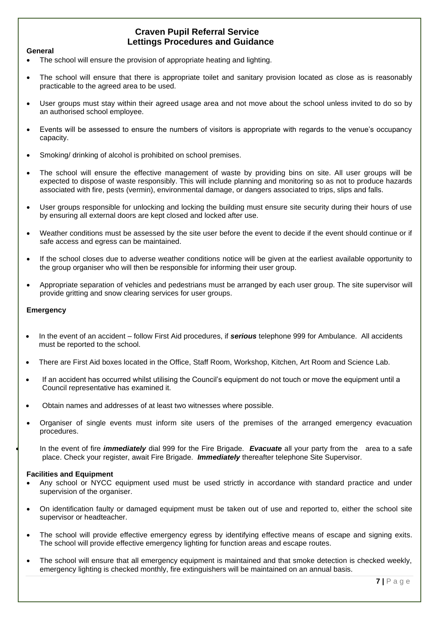#### **Craven Pupil Referral Service Lettings Procedures and Guidance**

#### **General**

- The school will ensure the provision of appropriate heating and lighting.
- The school will ensure that there is appropriate toilet and sanitary provision located as close as is reasonably practicable to the agreed area to be used.
- User groups must stay within their agreed usage area and not move about the school unless invited to do so by an authorised school employee.
- Events will be assessed to ensure the numbers of visitors is appropriate with regards to the venue's occupancy capacity.
- Smoking/ drinking of alcohol is prohibited on school premises.
- The school will ensure the effective management of waste by providing bins on site. All user groups will be expected to dispose of waste responsibly. This will include planning and monitoring so as not to produce hazards associated with fire, pests (vermin), environmental damage, or dangers associated to trips, slips and falls.
- User groups responsible for unlocking and locking the building must ensure site security during their hours of use by ensuring all external doors are kept closed and locked after use.
- Weather conditions must be assessed by the site user before the event to decide if the event should continue or if safe access and egress can be maintained.
- If the school closes due to adverse weather conditions notice will be given at the earliest available opportunity to the group organiser who will then be responsible for informing their user group.
- Appropriate separation of vehicles and pedestrians must be arranged by each user group. The site supervisor will provide gritting and snow clearing services for user groups.

#### **Emergency**

- In the event of an accident follow First Aid procedures, if *serious* telephone 999 for Ambulance. All accidents must be reported to the school.
- There are First Aid boxes located in the Office, Staff Room, Workshop, Kitchen, Art Room and Science Lab.
- If an accident has occurred whilst utilising the Council's equipment do not touch or move the equipment until a Council representative has examined it.
- Obtain names and addresses of at least two witnesses where possible.
- Organiser of single events must inform site users of the premises of the arranged emergency evacuation procedures.

• In the event of fire *immediately* dial 999 for the Fire Brigade. *Evacuate* all your party from the area to a safe place. Check your register, await Fire Brigade. *Immediately* thereafter telephone Site Supervisor.

#### **Facilities and Equipment**

- Any school or NYCC equipment used must be used strictly in accordance with standard practice and under supervision of the organiser.
- On identification faulty or damaged equipment must be taken out of use and reported to, either the school site supervisor or headteacher.
- The school will provide effective emergency egress by identifying effective means of escape and signing exits. The school will provide effective emergency lighting for function areas and escape routes.
- The school will ensure that all emergency equipment is maintained and that smoke detection is checked weekly, emergency lighting is checked monthly, fire extinguishers will be maintained on an annual basis.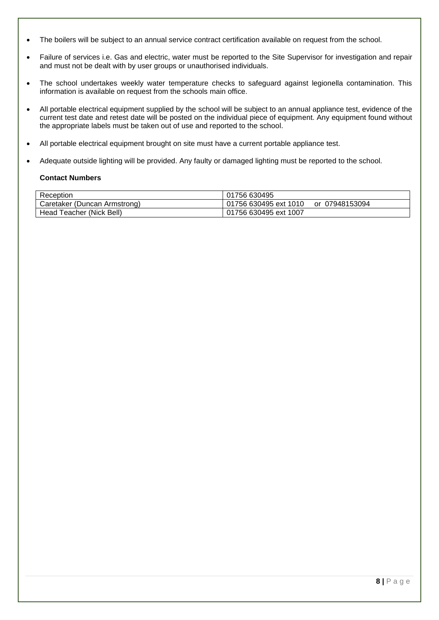- The boilers will be subject to an annual service contract certification available on request from the school.
- Failure of services i.e. Gas and electric, water must be reported to the Site Supervisor for investigation and repair and must not be dealt with by user groups or unauthorised individuals.
- The school undertakes weekly water temperature checks to safeguard against legionella contamination. This information is available on request from the schools main office.
- All portable electrical equipment supplied by the school will be subject to an annual appliance test, evidence of the current test date and retest date will be posted on the individual piece of equipment. Any equipment found without the appropriate labels must be taken out of use and reported to the school.
- All portable electrical equipment brought on site must have a current portable appliance test.
- Adequate outside lighting will be provided. Any faulty or damaged lighting must be reported to the school.

#### **Contact Numbers**

| Reception                    | 01756 630495                            |
|------------------------------|-----------------------------------------|
| Caretaker (Duncan Armstrong) | 01756 630495 ext 1010<br>or 07948153094 |
| Head Teacher (Nick Bell)     | 01756 630495 ext 1007                   |